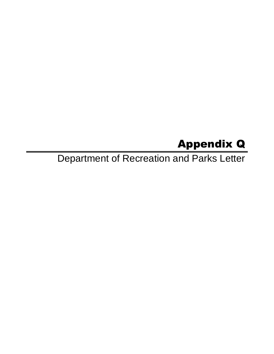# Appendix Q

Department of Recreation and Parks Letter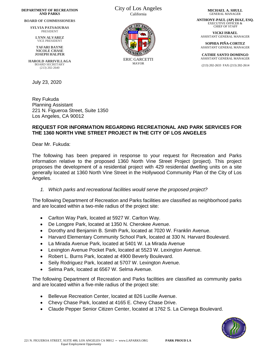#### **DEPARTMENT OF RECREATION AND PARKS**

**BOARD OF COMMISSIONERS**

**SYLVIA PATSAOURAS** PRESIDENT

**LYNN ALVAREZ** VICE PRESIDENT

**TAFARI BAYNE NICOLE CHASE JOSEPH HALPER**

**HAROLD ARRIVILLAGA** BOARD SECRETARY (213) 202-2640

July 23, 2020

Rey Fukuda Planning Assistant 221 N. Figueroa Street, Suite 1350 Los Angeles, CA 90012

#### City of Los Angeles California



**MICHAEL A. SHULL** GENERAL MANAGER

**ANTHONY-PAUL (AP) DIAZ, ESQ.** EXECUTIVE OFFICER & CHIEF OF STAFF

**VICKI ISRAEL** ASSISTANT GENERAL MANAGER

**SOPHIA PIÑA-CORTEZ** ASSISTANT GENERAL MANAGER

**CATHIE SANTO DOMINGO** ASSISTANT GENERAL MANAGER

(213) 202-2633 FAX (213) 202-2614

### **REQUEST FOR INFORMATION REGARDING RECREATIONAL AND PARK SERVICES FOR THE 1360 NORTH VINE STREET PROJECT IN THE CITY OF LOS ANGELES**

Dear Mr. Fukuda:

The following has been prepared in response to your request for Recreation and Parks information relative to the proposed 1360 North Vine Street Project (project). This project proposes the development of a residential project with 429 residential dwelling units on a site generally located at 1360 North Vine Street in the Hollywood Community Plan of the City of Los Angeles.

*1. Which parks and recreational facilities would serve the proposed project?*

The following Department of Recreation and Parks facilities are classified as neighborhood parks and are located within a two-mile radius of the project site:

- Carlton Way Park, located at 5927 W. Carlton Way.
- De Longpre Park, located at 1350 N. Cherokee Avenue.
- Dorothy and Benjamin B. Smith Park, located at 7020 W. Franklin Avenue.
- Harvard Elementary Community School Park, located at 330 N. Harvard Boulevard.
- La Mirada Avenue Park, located at 5401 W. La Mirada Avenue
- Lexington Avenue Pocket Park, located at 5523 W. Lexington Avenue.
- Robert L. Burns Park, located at 4900 Beverly Boulevard.
- Seily Rodriguez Park, located at 5707 W. Lexington Avenue.
- Selma Park, located at 6567 W. Selma Avenue.

The following Department of Recreation and Parks facilities are classified as community parks and are located within a five-mile radius of the project site:

- Bellevue Recreation Center, located at 826 Lucille Avenue.
- Chevy Chase Park, located at 4165 E. Chevy Chase Drive.
- Claude Pepper Senior Citizen Center, located at 1762 S. La Cienega Boulevard.

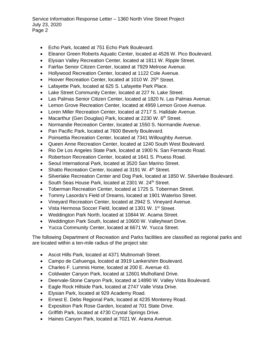Service Information Response Letter – 1360 North Vine Street Project July 23, 2020 Page 2

- Echo Park, located at 751 Echo Park Boulevard.
- Eleanor Green Roberts Aquatic Center, located at 4526 W. Pico Boulevard.
- Elysian Valley Recreation Center, located at 1811 W. Ripple Street.
- Fairfax Senior Citizen Center, located at 7929 Melrose Avenue.
- Hollywood Recreation Center, located at 1122 Cole Avenue.
- Hoover Recreation Center, located at 1010 W. 25<sup>th</sup> Street.
- Lafayette Park, located at 625 S. Lafayette Park Place.
- Lake Street Community Center, located at 227 N. Lake Street.
- Las Palmas Senior Citizen Center, located at 1820 N. Las Palmas Avenue.
- Lemon Grove Recreation Center, located at 4959 Lemon Grove Avenue.
- Loren Miller Recreation Center, located at 2717 S. Halldale Avenue.
- Macarthur (Gen Douglas) Park, located at 2230 W.  $6<sup>th</sup>$  Street.
- Normandie Recreation Center, located at 1550 S. Normandie Avenue.
- Pan Pacific Park, located at 7600 Beverly Boulevard.
- Poinsettia Recreation Center, located at 7341 Willoughby Avenue.
- Queen Anne Recreation Center, located at 1240 South West Boulevard.
- Rio De Los Angeles State Park, located at 1900 N. San Fernando Road.
- Robertson Recreation Center, located at 1641 S. Pruess Road.
- Seoul International Park, located at 3520 San Marino Street.
- Shatto Recreation Center, located at 3191 W. 4<sup>th</sup> Street.
- Silverlake Recreation Center and Dog Park, located at 1850 W. Silverlake Boulevard.
- South Seas House Park, located at 2301 W, 24<sup>th</sup> Street.
- Toberman Recreation Center, located at 1725 S. Toberman Street.
- Tommy Lasorda's Field of Dreams, located at 1901 Waterloo Street.
- Vineyard Recreation Center, located at 2942 S. Vineyard Avenue.
- Vista Hermosa Soccer Field, located at 1301 W. 1<sup>st</sup> Street.
- Weddington Park North, located at 10844 W. Acama Street.
- Weddington Park South, located at 10600 W. Valleyheart Drive.
- Yucca Community Center, located at 6671 W. Yucca Street.

The following Department of Recreation and Parks facilities are classified as regional parks and are located within a ten-mile radius of the project site:

- Ascot Hills Park, located at 4371 Multnomah Street.
- Campo de Cahuenga, located at 3919 Lankershim Boulevard.
- Charles F. Lummis Home, located at 200 E. Avenue 43.
- Coldwater Canyon Park, located at 12601 Mulholland Drive.
- Deervale-Stone Canyon Park, located at 14890 W. Valley Vista Boulevard.
- Eagle Rock Hillside Park, located at 2747 Valle Vista Drive.
- Elysian Park, located at 929 Academy Road.
- Ernest E. Debs Regional Park, located at 4235 Monterey Road.
- Exposition Park Rose Garden, located at 701 State Drive.
- Griffith Park, located at 4730 Crystal Springs Drive.
- Haines Canyon Park, located at 7021 W. Arama Avenue.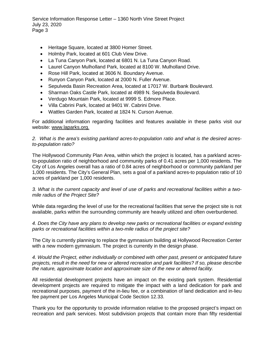Service Information Response Letter – 1360 North Vine Street Project July 23, 2020 Page 3

- Heritage Square, located at 3800 Homer Street.
- Holmby Park, located at 601 Club View Drive.
- La Tuna Canyon Park, located at 6801 N. La Tuna Canyon Road.
- Laurel Canyon Mulholland Park, located at 8100 W. Mulholland Drive.
- Rose Hill Park, located at 3606 N. Boundary Avenue.
- Runyon Canyon Park, located at 2000 N. Fuller Avenue.
- Sepulveda Basin Recreation Area, located at 17017 W. Burbank Boulevard.
- Sharman Oaks Castle Park, located at 4989 N. Sepulveda Boulevard.
- Verdugo Mountain Park, located at 9999 S. Edmore Place.
- Villa Cabrini Park, located at 9401 W. Cabrini Drive.
- Wattles Garden Park, located at 1824 N. Curson Avenue.

For additional information regarding facilities and features available in these parks visit our website: www.laparks.org.

### *2. What is the area's existing parkland acres-to-population ratio and what is the desired acresto-population ratio?*

The Hollywood Community Plan Area, within which the project is located, has a parkland acresto-population ratio of neighborhood and community parks of 0.41 acres per 1,000 residents. The City of Los Angeles overall has a ratio of 0.84 acres of neighborhood or community parkland per 1,000 residents. The City's General Plan, sets a goal of a parkland acres-to population ratio of 10 acres of parkland per 1,000 residents.

## *3. What is the current capacity and level of use of parks and recreational facilities within a twomile radius of the Project Site?*

While data regarding the level of use for the recreational facilities that serve the project site is not available, parks within the surrounding community are heavily utilized and often overburdened.

*4. Does the City have any plans to develop new parks or recreational facilities or expand existing parks or recreational facilities within a two-mile radius of the project site?*

The City is currently planning to replace the gymnasium building at Hollywood Recreation Center with a new modern gymnasium. The project is currently in the design phase.

*4. Would the Project, either individually or combined with other past, present or anticipated future projects, result in the need for new or altered recreation and park facilities? If so, please describe the nature, approximate location and approximate size of the new or altered facility.*

All residential development projects have an impact on the existing park system. Residential development projects are required to mitigate the impact with a land dedication for park and recreational purposes, payment of the in-lieu fee, or a combination of land dedication and in-lieu fee payment per Los Angeles Municipal Code Section 12.33.

Thank you for the opportunity to provide information relative to the proposed project's impact on recreation and park services. Most subdivision projects that contain more than fifty residential